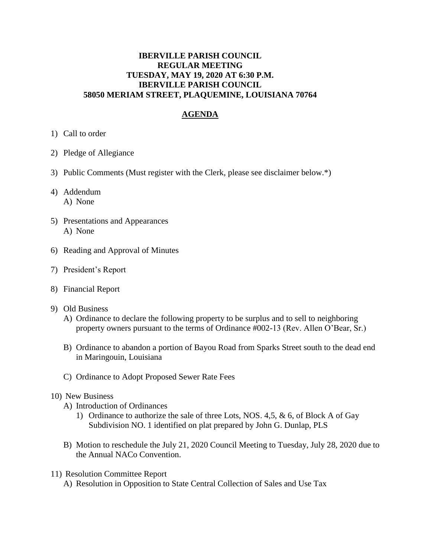#### **IBERVILLE PARISH COUNCIL REGULAR MEETING TUESDAY, MAY 19, 2020 AT 6:30 P.M. IBERVILLE PARISH COUNCIL 58050 MERIAM STREET, PLAQUEMINE, LOUISIANA 70764**

# **AGENDA**

- 1) Call to order
- 2) Pledge of Allegiance
- 3) Public Comments (Must register with the Clerk, please see disclaimer below.\*)
- 4) Addendum A) None
- 5) Presentations and Appearances A) None
- 6) Reading and Approval of Minutes
- 7) President's Report
- 8) Financial Report
- 9) Old Business
	- A) Ordinance to declare the following property to be surplus and to sell to neighboring property owners pursuant to the terms of Ordinance #002-13 (Rev. Allen O'Bear, Sr.)
	- B) Ordinance to abandon a portion of Bayou Road from Sparks Street south to the dead end in Maringouin, Louisiana
	- C) Ordinance to Adopt Proposed Sewer Rate Fees

#### 10) New Business

- A) Introduction of Ordinances
	- 1) Ordinance to authorize the sale of three Lots, NOS. 4,5, & 6, of Block A of Gay Subdivision NO. 1 identified on plat prepared by John G. Dunlap, PLS
- B) Motion to reschedule the July 21, 2020 Council Meeting to Tuesday, July 28, 2020 due to the Annual NACo Convention.
- 11) Resolution Committee Report
	- A) Resolution in Opposition to State Central Collection of Sales and Use Tax